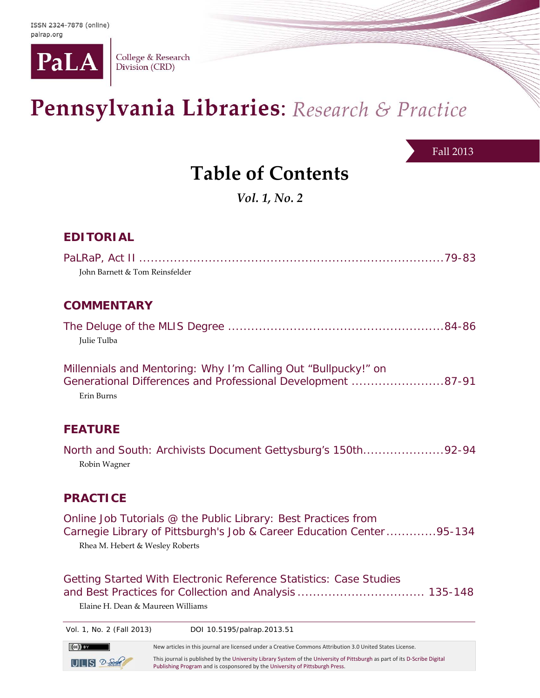

College & Research Division (CRD)

# Pennsylvania Libraries: Research & Practice

#### Fall 2013

## **Table of Contents**

*Vol. 1, No. 2*

### **EDITORIAL**

| John Barnett & Tom Reinsfelder                                                                                                              |
|---------------------------------------------------------------------------------------------------------------------------------------------|
| <b>COMMENTARY</b>                                                                                                                           |
| Julie Tulba                                                                                                                                 |
| Millennials and Mentoring: Why I'm Calling Out "Bullpucky!" on<br>Generational Differences and Professional Development 87-91<br>Erin Burns |
| <b>FEATURE</b>                                                                                                                              |
| North and South: Archivists Document Gettysburg's 150th92-94<br>Robin Wagner                                                                |

### **PRACTICE**

Online Job Tutorials @ the Public Library: Best Practices from Carnegie Library of Pittsburgh's Job & Career Education Center ............. 95-134 Rhea M. Hebert & Wesley Roberts

Getting Started With Electronic Reference Statistics: Case Studies and Best Practices for Collection and Analysis ................................. 135-148

Elaine H. Dean & Maureen Williams

Vol. 1, No. 2 (Fall 2013) DOI 10.5195/palrap.2013.51

 New articles in this journal are licensed under <sup>a</sup> Creative Commons Attribution 3.0 United States License. This journal is published by the University Library System of the University of Pittsburgh as part of its D‐Scribe Digital  $UIUS$   $2-5$ Publishing Program and is cosponsored by the University of Pittsburgh Press.